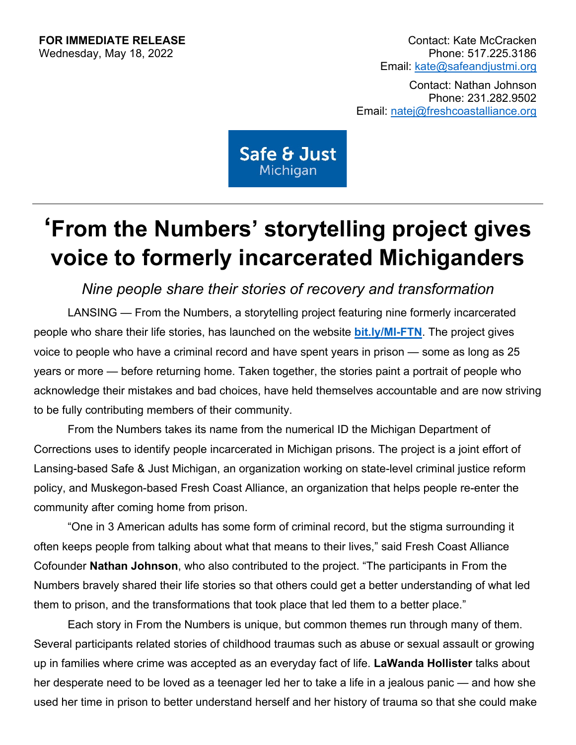**FOR IMMEDIATE RELEASE**<br>
Wednesdav. May 18, 2022 Email: [kate@safeandjustmi.org](mailto:kate@safeandjustmi.org)

> Contact: Nathan Johnson Phone: 231.282.9502 Email: [natej@freshcoastalliance.org](mailto:natej@freshcoastalliance.org)

Safe & Just Michigan

## **'From the Numbers' storytelling project gives voice to formerly incarcerated Michiganders**

*Nine people share their stories of recovery and transformation*

LANSING — From the Numbers, a storytelling project featuring nine formerly incarcerated people who share their life stories, has launched on the website **[bit.ly/MI-FTN](http://bit.ly/MI-FTN)**. The project gives voice to people who have a criminal record and have spent years in prison — some as long as 25 years or more — before returning home. Taken together, the stories paint a portrait of people who acknowledge their mistakes and bad choices, have held themselves accountable and are now striving to be fully contributing members of their community.

From the Numbers takes its name from the numerical ID the Michigan Department of Corrections uses to identify people incarcerated in Michigan prisons. The project is a joint effort of Lansing-based Safe & Just Michigan, an organization working on state-level criminal justice reform policy, and Muskegon-based Fresh Coast Alliance, an organization that helps people re-enter the community after coming home from prison.

"One in 3 American adults has some form of criminal record, but the stigma surrounding it often keeps people from talking about what that means to their lives," said Fresh Coast Alliance Cofounder **Nathan Johnson**, who also contributed to the project. "The participants in From the Numbers bravely shared their life stories so that others could get a better understanding of what led them to prison, and the transformations that took place that led them to a better place."

Each story in From the Numbers is unique, but common themes run through many of them. Several participants related stories of childhood traumas such as abuse or sexual assault or growing up in families where crime was accepted as an everyday fact of life. **LaWanda Hollister** talks about her desperate need to be loved as a teenager led her to take a life in a jealous panic — and how she used her time in prison to better understand herself and her history of trauma so that she could make